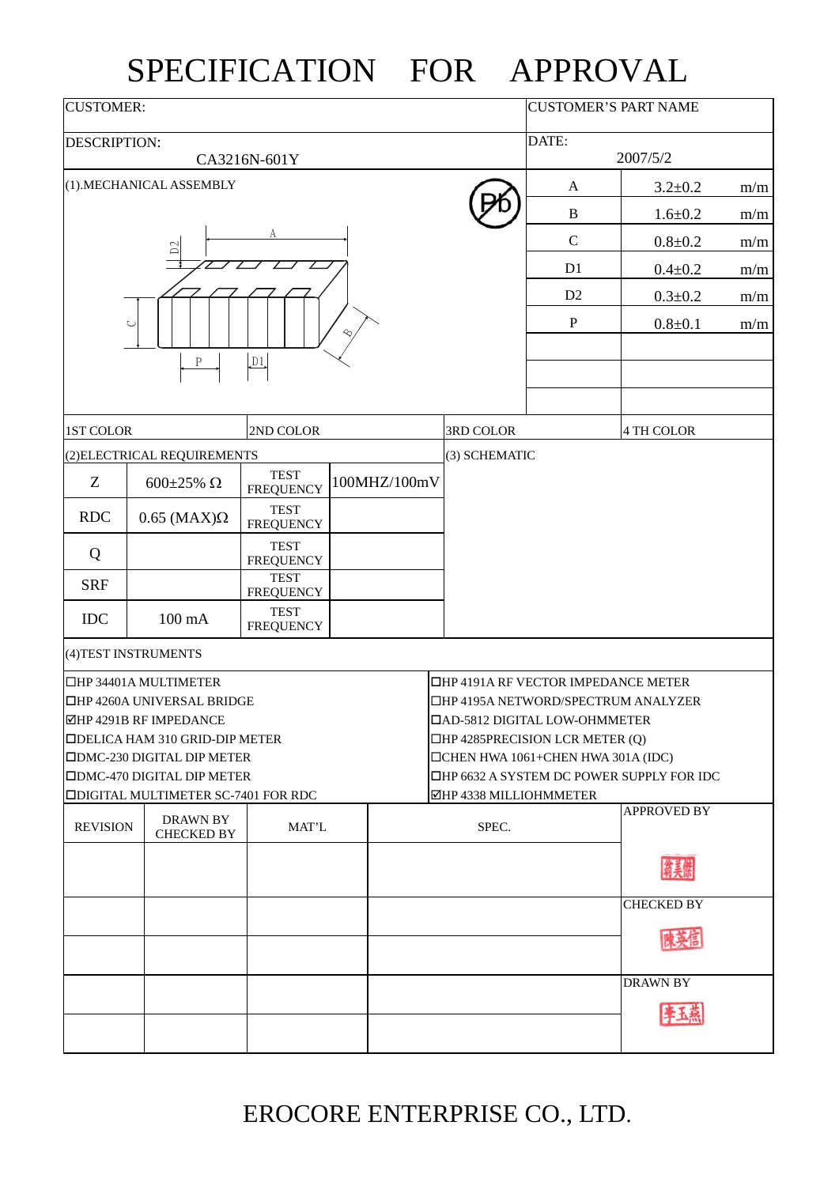## SPECIFICATION FOR APPROVAL

| <b>CUSTOMER:</b>    |                                                                                                                                                                                                                                                       | <b>CUSTOMER'S PART NAME</b>     |                                                                                                                                                                                                                                                                          |                |               |                    |     |
|---------------------|-------------------------------------------------------------------------------------------------------------------------------------------------------------------------------------------------------------------------------------------------------|---------------------------------|--------------------------------------------------------------------------------------------------------------------------------------------------------------------------------------------------------------------------------------------------------------------------|----------------|---------------|--------------------|-----|
| <b>DESCRIPTION:</b> |                                                                                                                                                                                                                                                       | DATE:                           |                                                                                                                                                                                                                                                                          |                |               |                    |     |
|                     | CA3216N-601Y                                                                                                                                                                                                                                          |                                 |                                                                                                                                                                                                                                                                          | 2007/5/2       |               |                    |     |
|                     | (1).MECHANICAL ASSEMBLY                                                                                                                                                                                                                               |                                 |                                                                                                                                                                                                                                                                          | $\mathbf{A}$   | $3.2 \pm 0.2$ | m/m                |     |
|                     |                                                                                                                                                                                                                                                       |                                 |                                                                                                                                                                                                                                                                          |                | $\, {\bf B}$  | $1.6 + 0.2$        | m/m |
|                     | $D2$                                                                                                                                                                                                                                                  |                                 |                                                                                                                                                                                                                                                                          | $\mathbf C$    | $0.8 + 0.2$   | m/m                |     |
|                     |                                                                                                                                                                                                                                                       |                                 |                                                                                                                                                                                                                                                                          | D <sub>1</sub> | $0.4 + 0.2$   | m/m                |     |
|                     |                                                                                                                                                                                                                                                       |                                 |                                                                                                                                                                                                                                                                          | D2             | $0.3 + 0.2$   | m/m                |     |
|                     | $\cup$<br>$\, {\bf P}$                                                                                                                                                                                                                                | D1                              |                                                                                                                                                                                                                                                                          |                | $\mathbf P$   | $0.8 + 0.1$        | m/m |
| 1ST COLOR           |                                                                                                                                                                                                                                                       | 2ND COLOR                       |                                                                                                                                                                                                                                                                          | 3RD COLOR      |               | 4 TH COLOR         |     |
|                     | (2) ELECTRICAL REQUIREMENTS                                                                                                                                                                                                                           |                                 |                                                                                                                                                                                                                                                                          | (3) SCHEMATIC  |               |                    |     |
| Z                   | 600±25% $\Omega$                                                                                                                                                                                                                                      | <b>TEST</b><br><b>FREQUENCY</b> | 100MHZ/100mV                                                                                                                                                                                                                                                             |                |               |                    |     |
| <b>RDC</b>          | $0.65$ (MAX) $\Omega$                                                                                                                                                                                                                                 | <b>TEST</b><br><b>FREQUENCY</b> |                                                                                                                                                                                                                                                                          |                |               |                    |     |
| Q                   |                                                                                                                                                                                                                                                       | <b>TEST</b><br><b>FREQUENCY</b> |                                                                                                                                                                                                                                                                          |                |               |                    |     |
| <b>SRF</b>          |                                                                                                                                                                                                                                                       | <b>TEST</b><br><b>FREQUENCY</b> |                                                                                                                                                                                                                                                                          |                |               |                    |     |
| $IDC$               | $100 \text{ mA}$                                                                                                                                                                                                                                      | <b>TEST</b><br><b>FREQUENCY</b> |                                                                                                                                                                                                                                                                          |                |               |                    |     |
|                     | (4) TEST INSTRUMENTS                                                                                                                                                                                                                                  |                                 |                                                                                                                                                                                                                                                                          |                |               |                    |     |
|                     | □HP 34401A MULTIMETER<br>□HP 4260A UNIVERSAL BRIDGE<br><b>ØHP 4291B RF IMPEDANCE</b><br><b>IDELICA HAM 310 GRID-DIP METER</b><br><b>IDMC-230 DIGITAL DIP METER</b><br><b>ODMC-470 DIGITAL DIP METER</b><br><b>ODIGITAL MULTIMETER SC-7401 FOR RDC</b> |                                 | □HP 4191A RF VECTOR IMPEDANCE METER<br>□HP 4195A NETWORD/SPECTRUM ANALYZER<br><b>DAD-5812 DIGITAL LOW-OHMMETER</b><br>$\Box$ HP 4285PRECISION LCR METER (Q)<br>□CHEN HWA 1061+CHEN HWA 301A (IDC)<br>□HP 6632 A SYSTEM DC POWER SUPPLY FOR IDC<br>⊠HP 4338 MILLIOHMMETER |                |               |                    |     |
| <b>REVISION</b>     | <b>DRAWN BY</b><br><b>CHECKED BY</b>                                                                                                                                                                                                                  | MAT'L                           |                                                                                                                                                                                                                                                                          | SPEC.          |               | <b>APPROVED BY</b> |     |
|                     |                                                                                                                                                                                                                                                       |                                 |                                                                                                                                                                                                                                                                          |                |               |                    |     |
|                     |                                                                                                                                                                                                                                                       |                                 |                                                                                                                                                                                                                                                                          |                |               | <b>CHECKED BY</b>  |     |
|                     |                                                                                                                                                                                                                                                       |                                 |                                                                                                                                                                                                                                                                          |                |               | <b>DRAWN BY</b>    |     |

EROCORE ENTERPRISE CO., LTD.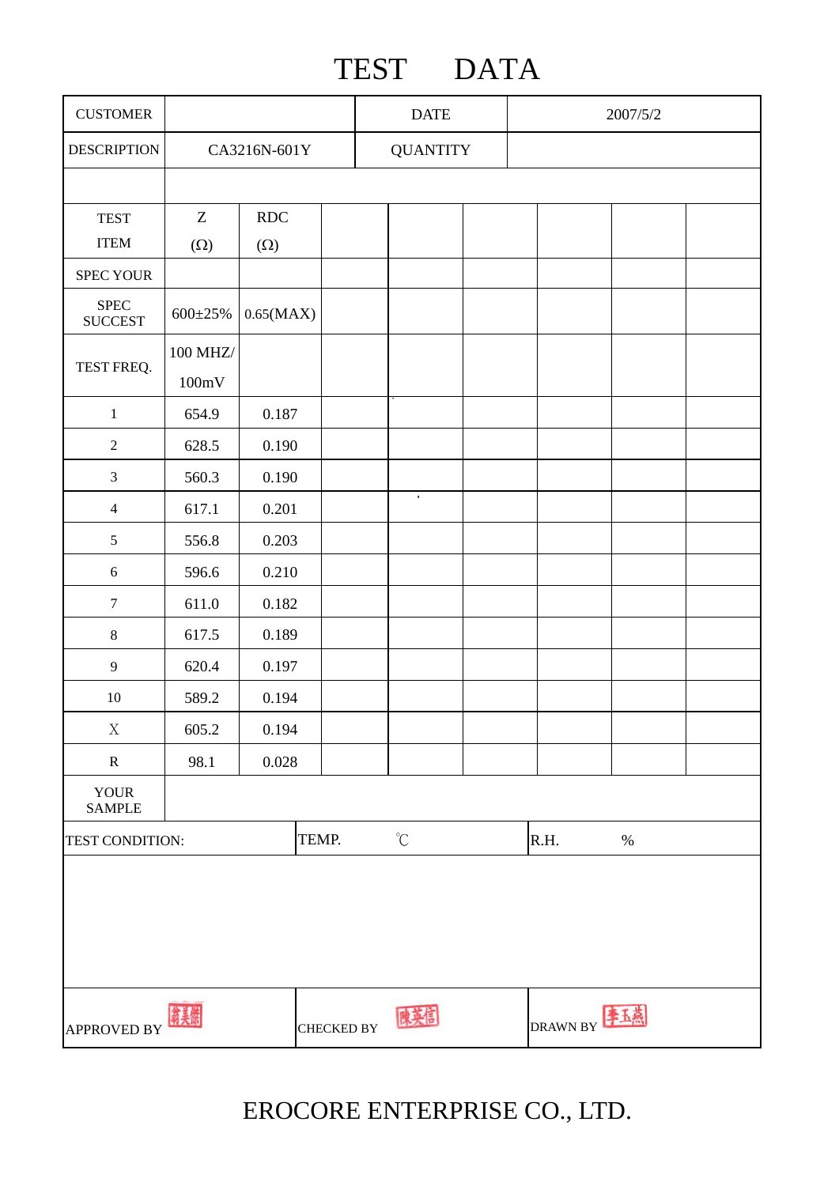## TEST DATA

| <b>CUSTOMER</b>                |                   |            | <b>DATE</b>       |                   |  | 2007/5/2        |      |  |
|--------------------------------|-------------------|------------|-------------------|-------------------|--|-----------------|------|--|
| <b>DESCRIPTION</b>             | CA3216N-601Y      |            |                   | <b>QUANTITY</b>   |  |                 |      |  |
|                                |                   |            |                   |                   |  |                 |      |  |
| <b>TEST</b>                    | $\boldsymbol{Z}$  | RDC        |                   |                   |  |                 |      |  |
| <b>ITEM</b>                    | $(\Omega)$        | $(\Omega)$ |                   |                   |  |                 |      |  |
| SPEC YOUR                      |                   |            |                   |                   |  |                 |      |  |
| ${\rm SPEC}$<br><b>SUCCEST</b> | 600±25%           | 0.65(MAX)  |                   |                   |  |                 |      |  |
|                                | 100 MHZ/          |            |                   |                   |  |                 |      |  |
| TEST FREQ.                     | $100 \mathrm{mV}$ |            |                   |                   |  |                 |      |  |
| $1\,$                          | 654.9             | 0.187      |                   |                   |  |                 |      |  |
| $\sqrt{2}$                     | 628.5             | 0.190      |                   |                   |  |                 |      |  |
| $\mathfrak{Z}$                 | 560.3             | 0.190      |                   |                   |  |                 |      |  |
| $\overline{4}$                 | 617.1             | 0.201      |                   | $\bullet$         |  |                 |      |  |
| $\mathfrak{S}$                 | 556.8             | 0.203      |                   |                   |  |                 |      |  |
| $\sqrt{6}$                     | 596.6             | 0.210      |                   |                   |  |                 |      |  |
| $\boldsymbol{7}$               | 611.0             | 0.182      |                   |                   |  |                 |      |  |
| $\,8\,$                        | 617.5             | 0.189      |                   |                   |  |                 |      |  |
| $\overline{9}$                 | 620.4             | 0.197      |                   |                   |  |                 |      |  |
| $10\,$                         | 589.2             | 0.194      |                   |                   |  |                 |      |  |
| $\mathbf X$                    | 605.2             | 0.194      |                   |                   |  |                 |      |  |
| ${\bf R}$                      | 98.1              | 0.028      |                   |                   |  |                 |      |  |
| <b>YOUR</b><br><b>SAMPLE</b>   |                   |            |                   |                   |  |                 |      |  |
| TEST CONDITION:                |                   |            | TEMP.             | $^\circ\!{\rm C}$ |  | R.H.            | $\%$ |  |
|                                |                   |            |                   |                   |  |                 |      |  |
| APPROVED BY                    |                   |            | <b>CHECKED BY</b> |                   |  | <b>DRAWN BY</b> |      |  |

EROCORE ENTERPRISE CO., LTD.